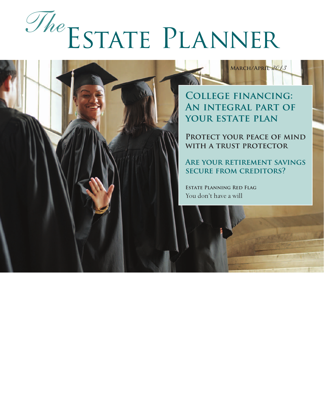# Estate Planner *The*

**College financing: An integral part of your estate plan**

**March/April** *2013*

**Protect your peace of mind with a trust protector**

**Are your retirement savings secure from creditors?**

**Estate Planning Red Flag** You don't have a will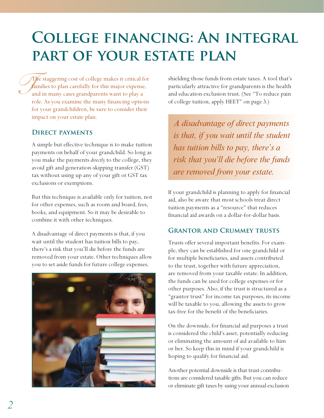## **College financing: An integral part of your estate plan**

 $\int_{\tan x}^{\pi}$ The staggering cost of college makes it critical for families to plan carefully for this major expense, and in many cases grandparents want to play a role. As you examine the many financing options for your grandchildren, be sure to consider their impact on your estate plan.

#### **Direct payments**

A simple but effective technique is to make tuition payments on behalf of your grandchild. So long as you make the payments *directly* to the college, they avoid gift and generation-skipping transfer (GST) tax without using up any of your gift or GST tax exclusions or exemptions.

But this technique is available only for tuition, not for other expenses, such as room and board, fees, books, and equipment. So it may be desirable to combine it with other techniques.

A disadvantage of direct payments is that, if you wait until the student has tuition bills to pay, there's a risk that you'll die before the funds are removed from your estate. Other techniques allow you to set aside funds for future college expenses,



shielding those funds from estate taxes. A tool that's particularly attractive for grandparents is the health and education exclusion trust. (See "To reduce pain of college tuition, apply HEET" on page 3.)

*A disadvantage of direct payments is that, if you wait until the student has tuition bills to pay, there's a risk that you'll die before the funds are removed from your estate.*

If your grandchild is planning to apply for financial aid, also be aware that most schools treat direct tuition payments as a "resource" that reduces financial aid awards on a dollar-for-dollar basis.

#### **Grantor and Crummey trusts**

Trusts offer several important benefits. For example, they can be established for one grandchild or for multiple beneficiaries, and assets contributed to the trust, together with future appreciation, are removed from your taxable estate. In addition, the funds can be used for college expenses or for other purposes. Also, if the trust is structured as a "grantor trust" for income tax purposes, its income will be taxable to you, allowing the assets to grow tax-free for the benefit of the beneficiaries.

On the downside, for financial aid purposes a trust is considered the child's asset, potentially reducing or eliminating the amount of aid available to him or her. So keep this in mind if your grandchild is hoping to qualify for financial aid.

Another potential downside is that trust contributions are considered taxable gifts. But you can reduce or eliminate gift taxes by using your annual exclusion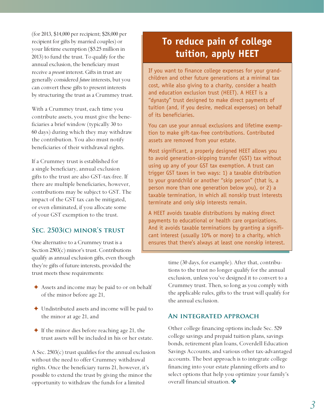(for 2013, \$14,000 per recipient; \$28,000 per recipient for gifts by married couples) or your lifetime exemption (\$5.25 million in 2013) to fund the trust. To qualify for the annual exclusion, the beneficiary must receive a *present* interest. Gifts in trust are generally considered *future* interests, but you can convert these gifts to present interests by structuring the trust as a Crummey trust.

With a Crummey trust, each time you contribute assets, you must give the beneficiaries a brief window (typically 30 to 60 days) during which they may withdraw the contribution. You also must notify beneficiaries of their withdrawal rights.

If a Crummey trust is established for a single beneficiary, annual exclusion gifts to the trust are also GST-tax-free. If there are multiple beneficiaries, however, contributions may be subject to GST. The impact of the GST tax can be mitigated, or even eliminated, if you allocate some of your GST exemption to the trust.

#### **Sec. 2503(c) minor's trust**

One alternative to a Crummey trust is a Section  $2503(c)$  minor's trust. Contributions qualify as annual exclusion gifts, even though they're gifts of future interests, provided the trust meets these requirements:

- ✦ Assets and income may be paid to or on behalf of the minor before age 21,
- ✦ Undistributed assets and income will be paid to the minor at age 21, and
- $\triangle$  If the minor dies before reaching age 21, the trust assets will be included in his or her estate.

A Sec.  $2503(c)$  trust qualifies for the annual exclusion without the need to offer Crummey withdrawal rights. Once the beneficiary turns 21, however, it's possible to extend the trust by giving the minor the opportunity to withdraw the funds for a limited

### **To reduce pain of college tuition, apply HEET**

If you want to finance college expenses for your grandchildren and other future generations at a minimal tax cost, while also giving to a charity, consider a health and education exclusion trust (HEET). A HEET is a "dynasty" trust designed to make direct payments of tuition (and, if you desire, medical expenses) on behalf of its beneficiaries.

You can use your annual exclusions and lifetime exemption to make gift-tax-free contributions. Contributed assets are removed from your estate.

Most significant, a properly designed HEET allows you to avoid generation-skipping transfer (GST) tax without using up any of your GST tax exemption. A trust can trigger GST taxes in two ways: 1) a taxable distribution to your grandchild or another "skip person" (that is, a person more than one generation below you), or 2) a taxable termination, in which all nonskip trust interests terminate and only skip interests remain.

A HEET avoids taxable distributions by making direct payments to educational or health care organizations. And it avoids taxable terminations by granting a significant interest (usually 10% or more) to a charity, which ensures that there's always at least one nonskip interest.

> time (30 days, for example). After that, contributions to the trust no longer qualify for the annual exclusion, unless you've designed it to convert to a Crummey trust. Then, so long as you comply with the applicable rules, gifts to the trust will qualify for the annual exclusion.

#### **An integrated approach**

Other college financing options include Sec. 529 college savings and prepaid tuition plans, savings bonds, retirement plan loans, Coverdell Education Savings Accounts, and various other tax-advantaged accounts. The best approach is to integrate college financing into your estate planning efforts and to select options that help you optimize your family's overall financial situation.  $\bullet$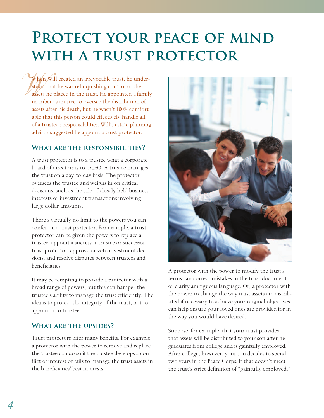## PROTECT YOUR PEACE OF MIND WITH A TRUST PROTECTOR

When Will created an irrevocable trust, he under-<br>stood that he was relinquishing control of the<br>assets he placed in the trust. He appointed a family<br>member as trustee to overcee the distribution of stood that he was relinquishing control of the assets he placed in the trust. He appointed a family member as trustee to oversee the distribution of assets after his death, but he wasn't 100% comfortable that this person could effectively handle all of a trustee's responsibilities. Will's estate planning advisor suggested he appoint a trust protector.

#### **What are the responsibilities?**

A trust protector is to a trustee what a corporate board of directors is to a CEO. A trustee manages the trust on a day-to-day basis. The protector oversees the trustee and weighs in on critical decisions, such as the sale of closely held business interests or investment transactions involving large dollar amounts.

There's virtually no limit to the powers you can confer on a trust protector. For example, a trust protector can be given the powers to replace a trustee, appoint a successor trustee or successor trust protector, approve or veto investment decisions, and resolve disputes between trustees and beneficiaries.

It may be tempting to provide a protector with a broad range of powers, but this can hamper the trustee's ability to manage the trust efficiently. The idea is to protect the integrity of the trust, not to appoint a co-trustee.

#### **What are the upsides?**

Trust protectors offer many benefits. For example, a protector with the power to remove and replace the trustee can do so if the trustee develops a conflict of interest or fails to manage the trust assets in the beneficiaries' best interests.



A protector with the power to modify the trust's terms can correct mistakes in the trust document or clarify ambiguous language. Or, a protector with the power to change the way trust assets are distributed if necessary to achieve your original objectives can help ensure your loved ones are provided for in the way you would have desired.

Suppose, for example, that your trust provides that assets will be distributed to your son after he graduates from college and is gainfully employed. After college, however, your son decides to spend two years in the Peace Corps. If that doesn't meet the trust's strict definition of "gainfully employed,"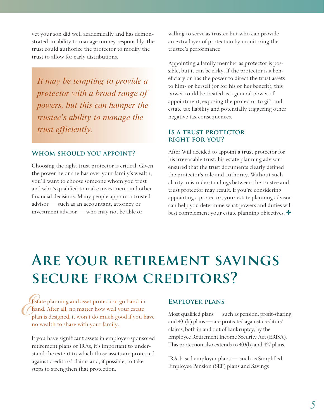yet your son did well academically and has demonstrated an ability to manage money responsibly, the trust could authorize the protector to modify the trust to allow for early distributions.

*It may be tempting to provide a protector with a broad range of powers, but this can hamper the trustee's ability to manage the trust efficiently.*

#### **Whom should you appoint?**

Choosing the right trust protector is critical. Given the power he or she has over your family's wealth, you'll want to choose someone whom you trust and who's qualified to make investment and other financial decisions. Many people appoint a trusted advisor — such as an accountant, attorney or investment advisor — who may not be able or

willing to serve as trustee but who can provide an extra layer of protection by monitoring the trustee's performance.

Appointing a family member as protector is possible, but it can be risky. If the protector is a beneficiary or has the power to direct the trust assets to him- or herself (or for his or her benefit), this power could be treated as a general power of appointment, exposing the protector to gift and estate tax liability and potentially triggering other negative tax consequences.

#### **Is a trust protector right for you?**

After Will decided to appoint a trust protector for his irrevocable trust, his estate planning advisor ensured that the trust documents clearly defined the protector's role and authority. Without such clarity, misunderstandings between the trustee and trust protector may result. If you're considering appointing a protector, your estate planning advisor can help you determine what powers and duties will best complement your estate planning objectives.

## **Are your retirement savings secure from creditors?**

*E*Estate planning and asset protection go hand-inhand. After all, no matter how well your estate plan is designed, it won't do much good if you have no wealth to share with your family.

If you have significant assets in employer-sponsored retirement plans or IRAs, it's important to understand the extent to which those assets are protected against creditors' claims and, if possible, to take steps to strengthen that protection.

#### **Employer plans**

Most qualified plans — such as pension, profit-sharing and  $401(k)$  plans — are protected against creditors' claims, both in and out of bankruptcy, by the Employee Retirement Income Security Act (ERISA). This protection also extends to 403(b) and 457 plans.

IRA-based employer plans — such as Simplified Employee Pension (SEP) plans and Savings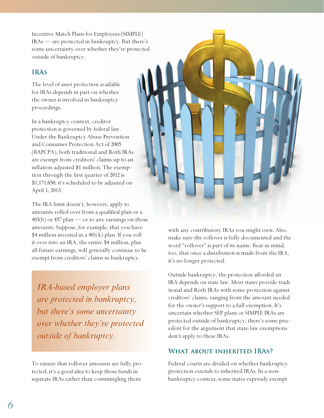Incentive Match Plans for Employees (SIMPLE) IRAs — are protected in bankruptcy. But there's some uncertainty over whether they're protected outside of bankruptcy.

#### **IRAs**

The level of asset protection available for IRAs depends in part on whether the owner is involved in bankruptcy proceedings.

In a bankruptcy context, creditor protection is governed by federal law. Under the Bankruptcy Abuse Prevention and Consumer Protection Act of 2005 (BAPCPA), both traditional and Roth IRAs are exempt from creditors' claims up to an inflation-adjusted \$1 million. The exemption through the first quarter of 2012 is \$1,171,650; it's scheduled to be adjusted on April 1, 2013.

The IRA limit doesn't, however, apply to amounts rolled over from a qualified plan or a  $403(b)$  or 457 plan — or to any earnings on those amounts. Suppose, for example, that you have \$4 million invested in a 401(k) plan. If you roll it over into an IRA, the entire \$4 million, plus all future earnings, will generally continue to be exempt from creditors' claims in bankruptcy.

*IRA-based employer plans are protected in bankruptcy, but there's some uncertainty over whether they're protected outside of bankruptcy.*

To ensure that rollover amounts are fully protected, it's a good idea to keep those funds in separate IRAs rather than commingling them



with any contributory IRAs you might own. Also, make sure the rollover is fully documented and the word "rollover" is part of its name. Bear in mind, too, that once a distribution is made from the IRA, it's no longer protected.

Outside bankruptcy, the protection afforded an IRA depends on state law. Most states provide traditional and Roth IRAs with some protection against creditors' claims, ranging from the amount needed for the owner's support to a full exemption. It's uncertain whether SEP plans or SIMPLE IRAs are protected outside of bankruptcy; there's some precedent for the argument that state-law exemptions don't apply to these IRAs.

#### **What about inherited IRAs?**

Federal courts are divided on whether bankruptcy protection extends to inherited IRAs. In a nonbankruptcy context, some states expressly exempt